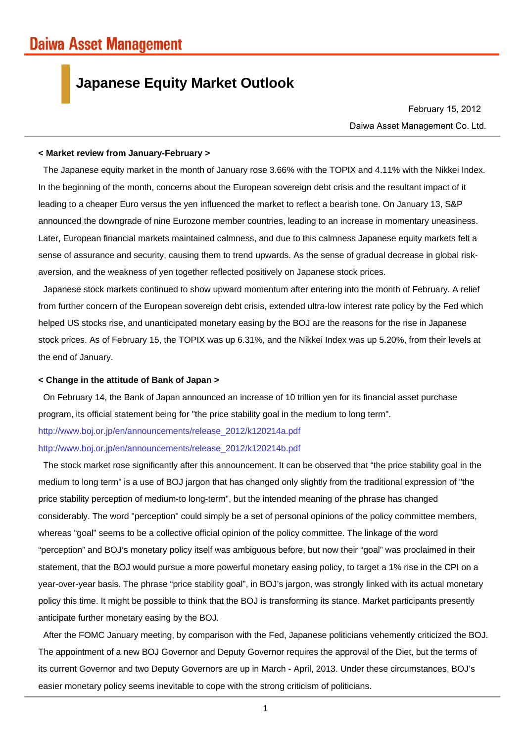# **Japanese Equity Market Outlook**

Daiwa Asset Management Co. Ltd. February 15, 2012

### **< Market review from January-February >**

The Japanese equity market in the month of January rose 3.66% with the TOPIX and 4.11% with the Nikkei Index. In the beginning of the month, concerns about the European sovereign debt crisis and the resultant impact of it leading to a cheaper Euro versus the yen influenced the market to reflect a bearish tone. On January 13, S&P announced the downgrade of nine Eurozone member countries, leading to an increase in momentary uneasiness. Later, European financial markets maintained calmness, and due to this calmness Japanese equity markets felt a sense of assurance and security, causing them to trend upwards. As the sense of gradual decrease in global riskaversion, and the weakness of yen together reflected positively on Japanese stock prices.

Japanese stock markets continued to show upward momentum after entering into the month of February. A relief from further concern of the European sovereign debt crisis, extended ultra-low interest rate policy by the Fed which helped US stocks rise, and unanticipated monetary easing by the BOJ are the reasons for the rise in Japanese stock prices. As of February 15, the TOPIX was up 6.31%, and the Nikkei Index was up 5.20%, from their levels at the end of January.

## **< Change in the attitude of Bank of Japan >**

On February 14, the Bank of Japan announced an increase of 10 trillion yen for its financial asset purchase program, its official statement being for "the price stability goal in the medium to long term".

http://www.boj.or.jp/en/announcements/release\_2012/k120214a.pdf

### http://www.boj.or.jp/en/announcements/release\_2012/k120214b.pdf

The stock market rose significantly after this announcement. It can be observed that "the price stability goal in the medium to long term" is a use of BOJ jargon that has changed only slightly from the traditional expression of "the price stability perception of medium-to long-term", but the intended meaning of the phrase has changed considerably. The word "perception" could simply be a set of personal opinions of the policy committee members, whereas "goal" seems to be a collective official opinion of the policy committee. The linkage of the word "perception" and BOJ's monetary policy itself was ambiguous before, but now their "goal" was proclaimed in their statement, that the BOJ would pursue a more powerful monetary easing policy, to target a 1% rise in the CPI on a year-over-year basis. The phrase "price stability goal", in BOJ's jargon, was strongly linked with its actual monetary policy this time. It might be possible to think that the BOJ is transforming its stance. Market participants presently anticipate further monetary easing by the BOJ.

After the FOMC January meeting, by comparison with the Fed, Japanese politicians vehemently criticized the BOJ. The appointment of a new BOJ Governor and Deputy Governor requires the approval of the Diet, but the terms of its current Governor and two Deputy Governors are up in March - April, 2013. Under these circumstances, BOJ's easier monetary policy seems inevitable to cope with the strong criticism of politicians.

1